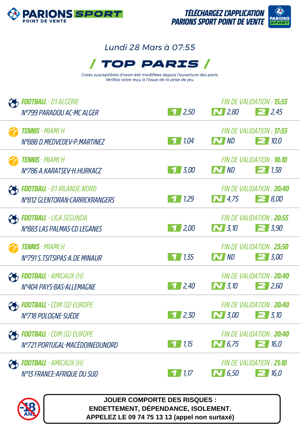



## *Lundi 28 Mars à 07:55*



*Cotes susceptibles d'avoir été modifiées depuis l'ouverture des paris. Vérifiez votre reçu à l'issue de la prise de jeu.*

| <b>FOOTBALL</b> - D1 ALGERIE<br>N°799 PARADOU AC-MC ALGER           | $1 \, 2,50$                                                        | $\sum$ 2,80      | FIN DE VALIDATION : <b>15:55</b><br>$\geq$ 2,45 |
|---------------------------------------------------------------------|--------------------------------------------------------------------|------------------|-------------------------------------------------|
| <b>TENNIS</b> - MIAMI H<br>N°888 D.MEDVEDEV-P.MARTINEZ              | 71,04                                                              | $\sim$ $ND$      | FIN DE VALIDATION : <b>17:55</b><br>$\geq 10.0$ |
| <b>Tennis -</b> Miami H<br>N°786 A.KARATSEV-H.HURKACZ               | $\begin{array}{c c} \hline \textbf{1} & \textbf{3.00} \end{array}$ | $\sim$ $ND$      | FIN DE VALIDATION : <b>18:10</b><br>$\geq$ 1,38 |
| <b>FOOTBALL</b> - D1 IRLANDE.NORD<br>Nº812 GLENTORAN-CARRICKRANGERS | 1/1,29                                                             | $\sum$ 4,75      | FIN DE VALIDATION : 20:40<br>$\geq 8.00$        |
| <b>FOOTBALL</b> - LIGA SEGUNDA<br>Nº883 LAS PALMAS-CD LEGANES       | 1/2,00                                                             | $\bigwedge$ 3,10 | FIN DE VALIDATION : 20:55<br>$\geq 3.90$        |
| <b>Tennis</b> - Miami H<br>N°791 S.TSITSIPAS-A.DE MINAUR            | 1,35<br>7                                                          | $\sim$ $ND$      | FIN DE VALIDATION : 23:50<br>$\boxed{2}$ 3,00   |
| <b>Football</b> - Amicaux (H)<br>N°404 PAYS-BAS-ALLEMAGNE           | $\vert$ 2,40                                                       | $\sum$ 3,10      | FIN DE VALIDATION : 20:40<br>2,60               |
| <b>FOOTBALL</b> - CDM (Q) EUROPE<br>N°718 POLOGNE-SUÈDE             | 2,30                                                               | $\bf N$ 3,00     | FIN DE VALIDATION : 20:40<br>$2 \frac{3}{10}$   |
| <b>FOOTBALL</b> - CDM (Q) EUROPE<br>N°721 PORTUGAL-MACÉDOINEDUNORD  | 71,15                                                              | $\sum$ 6,75      | FIN DE VALIDATION : 20:40<br>$\geq 16.0$        |
| <b>FOOTBALL</b> - AMICAUX (H)<br>N°13 FRANCE-AFRIQUE DU SUD         | $\frac{1}{1}$ 1,17                                                 | $\sim 6.50$      | FIN DE VALIDATION : 21:10<br>216,0              |



**JOUER COMPORTE DES RISQUES : ENDETTEMENT, DÉPENDANCE, ISOLEMENT. APPELEZ LE 09 74 75 13 13 (appel non surtaxé)**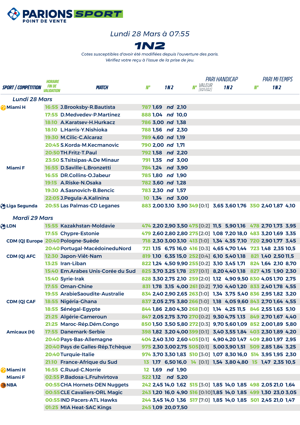

## *Lundi 28 Mars à 07:55*



*Cotes susceptibles d'avoir été modifiées depuis l'ouverture des paris. Vérifiez votre reçu à l'issue de la prise de jeu.*

|                            | HORAIRE                                   |                                    |                   |                 | <b>PARI HANDICAP</b>                 |  | <b>PARI MI-TEMPS</b>                                            |    |     |  |
|----------------------------|-------------------------------------------|------------------------------------|-------------------|-----------------|--------------------------------------|--|-----------------------------------------------------------------|----|-----|--|
| <b>SPORT / COMPÉTITION</b> | <i><b>FIN DE</b></i><br><i>VALIDATION</i> | <b>MATCH</b>                       | N°                | 1N <sub>2</sub> | <b>Nº</b> <i>VALEUR</i><br>[EQ1:EQ2] |  | 1N <sub>2</sub>                                                 | N° | 1N2 |  |
| <b>Lundi 28 Mars</b>       |                                           |                                    |                   |                 |                                      |  |                                                                 |    |     |  |
| Miami H                    |                                           | 16:55 J.Brooksby-R.Bautista        | 787 1,69 nd 2,10  |                 |                                      |  |                                                                 |    |     |  |
|                            |                                           | 17:55 D.Medvedev-P.Martinez        | 888 1,04 nd 10,0  |                 |                                      |  |                                                                 |    |     |  |
|                            |                                           | 18:10 A.Karatsev-H.Hurkacz         | 786 3,00 nd 1,38  |                 |                                      |  |                                                                 |    |     |  |
|                            |                                           | 18:10 L.Harris-Y.Nishioka          | 788 1,56 nd 2,30  |                 |                                      |  |                                                                 |    |     |  |
|                            |                                           | 19:30 M.Cilic-C.Alcaraz            | 789 4,60 nd 1,19  |                 |                                      |  |                                                                 |    |     |  |
|                            |                                           | 20:45 S.Korda-M.Kecmanovic         | 790 2,00 nd 1,71  |                 |                                      |  |                                                                 |    |     |  |
|                            |                                           | 20:50 TH. Fritz-T. Paul            | 792 1,58 nd 2,20  |                 |                                      |  |                                                                 |    |     |  |
|                            |                                           | 23:50 S.Tsitsipas-A.De Minaur      | 791 1,35 nd 3,00  |                 |                                      |  |                                                                 |    |     |  |
| <b>MiamiF</b>              |                                           | 16:55 D.Saville-L.Bronzetti        | 784 1,24 nd 3,90  |                 |                                      |  |                                                                 |    |     |  |
|                            |                                           | 16:55 DR.Collins-O.Jabeur          | 785 1,80 nd 1,90  |                 |                                      |  |                                                                 |    |     |  |
|                            |                                           | 19:15 A.Riske-N.Osaka              | 782 3,60 nd 1,28  |                 |                                      |  |                                                                 |    |     |  |
|                            |                                           | 19:30 A.Sasnovich-B.Bencic         | 783 2,30 nd 1,57  |                 |                                      |  |                                                                 |    |     |  |
|                            |                                           | 22:05 J. Pegula-A. Kalinina        | 10 1,34 nd 3,00   |                 |                                      |  |                                                                 |    |     |  |
| Higa Segunda               |                                           | 20:55 Las Palmas-CD Leganes        |                   |                 |                                      |  | 883 2,00 3,10 3,90 349 [0:1] 3,65 3,60 1,76 350 2,40 1,87 4,10  |    |     |  |
| <b>Mardi 29 Mars</b>       |                                           |                                    |                   |                 |                                      |  |                                                                 |    |     |  |
| <b>OLDN</b>                |                                           | 15:55 Kazakhstan-Moldavie          |                   |                 |                                      |  | 474 2,20 2,90 3,50 475 [0:2] 11,5 5,90 1,16 478 2,70 1,73 3,95  |    |     |  |
|                            |                                           | 17:55 Chypre-Estonie               |                   |                 |                                      |  | 479 2,60 2,80 2,80 275 [2:0] 1,08 7,20 18,0 483 3,20 1,69 3,35  |    |     |  |
|                            |                                           | CDM (Q) Europe 20:40 Pologne-Suède |                   |                 |                                      |  | 718 2,30 3,00 3,10 413 [1:0] 1,34 4,35 7,10 720 2,90 1,77 3,45  |    |     |  |
|                            |                                           | 20:40 Portugal-MacédoineduNord     |                   |                 |                                      |  | 721 1,15 6,75 16,0 416 [0:3] 4,65 4,70 1,44 723 1,48 2,35 10,5  |    |     |  |
| CDM (Q) AFC                |                                           | 12:30 Japon-Viêt-Nam               |                   |                 |                                      |  | 819 1,10 6,35 15,0 252 [0:4] 6,10 5,40 1,18 821 1,40 2,50 11,5  |    |     |  |
|                            |                                           | 13:25 Iran-Liban                   |                   |                 |                                      |  | 822 1,24 4,50 9,90 255 [0:2] 3,10 3,45 1,71 824 1,64 2,10 8,70  |    |     |  |
|                            |                                           | 15:40 Em.Arabes Unis-Corée du Sud  |                   |                 |                                      |  | 825 3,70 3,25 1,78 257 [0:1] 8,20 4,40 1,18 827 4,15 1,90 2,30  |    |     |  |
|                            |                                           | 15:40 Syrie-Irak                   |                   |                 |                                      |  | 828 3,30 2,75 2,10 259 [2:0] 1,12 4,90 9,50 830 4,05 1,70 2,75  |    |     |  |
|                            |                                           | 17:55 Oman-Chine                   |                   |                 |                                      |  | 831 1,78 3,15 4,00 261 [0:2] 7,10 4,40 1,20 833 2,40 1,78 4,55  |    |     |  |
|                            |                                           | 19:55 ArabieSaoudite-Australie     |                   |                 |                                      |  | 834 2,40 2,90 2,65 263 [1:0] 1,34 3,75 5,40 836 2,95 1,82 3,20  |    |     |  |
| CDM (Q) CAF                |                                           | 18:55 Nigéria-Ghana                |                   |                 |                                      |  | 837 2,05 2,75 3,80 266 [1:0] 1,18 4,05 9,60 843 2,70 1,64 4,55  |    |     |  |
|                            |                                           | 18:55 Sénégal-Egypte               |                   |                 |                                      |  | 844 1,86 2,80 4,30 268 [1:0] 1,14 4,25 11,5 846 2,55 1,63 5,10  |    |     |  |
|                            |                                           | 21:25 Algérie-Cameroun             |                   |                 |                                      |  | 847 2,05 2,75 3,70 270 [0:2] 9,30 4,75 1,13 849 2,70 1,67 4,40  |    |     |  |
|                            |                                           | 21:25 Maroc-Rép.Dém.Congo          |                   |                 |                                      |  | 850 1,50 3,50 5,80 272 [0:3] 9,70 5,60 1,09 852 2,00 1,89 5,80  |    |     |  |
| <b>Amicaux (H)</b>         |                                           | 17:55 Danemark-Serbie              |                   |                 |                                      |  | 398 1,82 3,20 4,00 399 [0:1] 3,40 3,55 1,84 403 2,30 1,89 4,20  |    |     |  |
|                            |                                           | 20:40 Pays-Bas-Allemagne           |                   |                 |                                      |  | 404 2,40 3,10 2,60 405 [0:1] 4,90 4,20 1,47 409 2,80 1,97 2,95  |    |     |  |
|                            |                                           | 20:40 Pays de Galles-Rép. Tchèque  |                   |                 |                                      |  | 975 2,30 3,00 2,75 505 [0:1] 5,00 3,90 1,51 509 2,85 1,84 3,25  |    |     |  |
|                            |                                           | 20:40 Turquie-Italie               |                   |                 |                                      |  | 974 3,70 3,30 1,83 510 [3:0] 1,07 8,30 16,0 514 3,95 1,95 2,30  |    |     |  |
|                            |                                           | 21:10 France-Afrique du Sud        |                   |                 |                                      |  | 13 1,17 6,50 16,0 14 [0:1] 1,54 3,80 4,80 15 1,47 2,35 10,5     |    |     |  |
| Miami H                    |                                           | 16:55 C.Ruud-C.Norrie              | 12 1,69 nd 1,90   |                 |                                      |  |                                                                 |    |     |  |
| <b>MiamiF</b>              |                                           | 02:55 P.Badosa-L.Fruhvirtova       | 522 1,12 nd 5,20  |                 |                                      |  |                                                                 |    |     |  |
| <b>ANBA</b>                |                                           | 00:55 CHA Hornets-DEN Nuggets      |                   |                 |                                      |  | 242 2,45 14,0 1,62 515 [3:0] 1,85 14,0 1,85 498 2,05 21,0 1,64  |    |     |  |
|                            |                                           | 00:55 CLE Cavaliers-ORL Magic      |                   |                 |                                      |  | 243 1,20 16,0 4,90 516 [0:10] 1,85 14,0 1,85 499 1,30 23,0 3,05 |    |     |  |
|                            |                                           | 00:55 IND Pacers-ATL Hawks         |                   |                 |                                      |  | 244 3,45 14,0 1,36 517 [7:0] 1,85 14,0 1,85 501 2,45 21,0 1,47  |    |     |  |
|                            |                                           | 01:25 MIA Heat-SAC Kings           | 245 1,09 20,07,50 |                 |                                      |  |                                                                 |    |     |  |
|                            |                                           |                                    |                   |                 |                                      |  |                                                                 |    |     |  |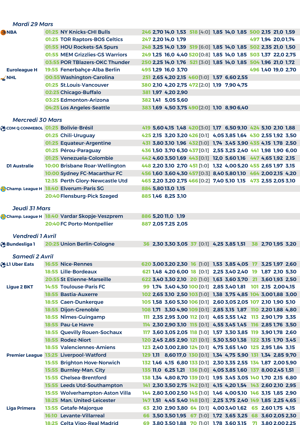| <b>Mardi 29 Mars</b>    |                                              |                                             |                                                                |  |  |  |
|-------------------------|----------------------------------------------|---------------------------------------------|----------------------------------------------------------------|--|--|--|
| <b>ANBA</b>             | 01:25 NY Knicks-CHI Bulls                    |                                             | 246 2,70 14,0 1,53 518 [4:0] 1,85 14,0 1,85 500 2,15 21,0 1,59 |  |  |  |
|                         | 01:25 TOR Raptors-BOS Celtics                | 247 2,20 14,0 1,79                          | 497 1,94 20,01,74                                              |  |  |  |
|                         | 01:55 HOU Rockets-SA Spurs                   |                                             | 248 3,25 14,0 1,39 519 [6:0] 1,85 14,0 1,85 502 2,35 21,0 1,50 |  |  |  |
|                         | 01:55 MEM Grizzlies-GS Warriors              |                                             | 249 1,25 16,0 4,40 520 [0:8] 1,85 14,0 1,85 503 1,37 22,0 2,75 |  |  |  |
|                         | 03:55 POR TBlazers-OKC Thunder               |                                             | 250 2,25 14,0 1,76 521 [3:0] 1,85 14,0 1,85 504 1,96 21,0 1,72 |  |  |  |
| <b>Euroleague H</b>     | 19:55 Fenerbahçe-Alba Berlin                 | 495 1,29 16,0 3,70                          | 496 1,40 19,0 2,70                                             |  |  |  |
| $\leq$ NHL              | 00:55 Washington-Carolina                    | 251 2,65 4,20 2,15 460 [1:0] 1,57 6,60 2,55 |                                                                |  |  |  |
|                         | 01:25 St.Louis-Vancouver                     | 380 2,10 4,20 2,75 472 [2:0] 1,19 7,90 4,75 |                                                                |  |  |  |
|                         | 02:25 Chicago-Buffalo                        | 381 1,97 4,20 2,90                          |                                                                |  |  |  |
|                         | 03:25 Edmonton-Arizona                       | 382 1,41 5,05 5,60                          |                                                                |  |  |  |
|                         | 04:25 Los Angeles-Seattle                    | 383 1,69 4,50 3,75 490 [2:0] 1,10 8,90 6,40 |                                                                |  |  |  |
| <b>Mercredi 30 Mars</b> |                                              |                                             |                                                                |  |  |  |
|                         | COM Q CONMEBOL 01:25 Bolivie-Brésil          |                                             | 419 5,60 4,15 1,48 420 [3:0] 1,17 6,50 9,10 424 5,10 2,10 1,88 |  |  |  |
|                         | 01:25 Chili-Uruguay                          |                                             | 425 2,15 3,20 3,20 426 [0:1] 4,05 3,85 1,64 430 2,55 1,92 3,50 |  |  |  |
|                         | 01:25 Equateur-Argentine                     |                                             | 431 3,80 3,10 1,96 432 [1:0] 1,74 3,45 3,90 435 4,15 1,78 2,50 |  |  |  |
|                         | 01:25 Pérou-Paraguay                         |                                             | 436 1,50 3,70 6,30 437 [0:1] 2,55 3,25 2,40 441 1,98 1,90 6,00 |  |  |  |
|                         | 01:25 Venezuela-Colombie                     |                                             | 442 4,60 3,50 1,69 443 [0:1] 12,0 5,60 1,16 447 4,65 1,92 2,15 |  |  |  |
| <b>D1 Australie</b>     | 10:00 Brisbane Roar-Wellington               |                                             | 448 2,20 3,10 2,70 451 [1:0] 1,32 4,00 5,20 455 2,65 1,97 3,15 |  |  |  |
|                         | 10:00 Sydney FC-Macarthur FC                 |                                             | 456 1,60 3,60 4,30 457 [0:3] 8,40 5,80 1,10 464 2,00 2,15 4,20 |  |  |  |
|                         | 12:35 Perth Glory-Newcastle Utd              |                                             | 465 2,20 3,20 2,75 466 [0:2] 7,40 5,10 1,15 473 2,55 2,05 3,10 |  |  |  |
|                         | Champ. League H 18:40 Elverum-Paris SG       | 884 5,80 13,0 1,15                          |                                                                |  |  |  |
|                         | 20:40 Flensburg-Pick Szeged                  | 885 1,46 8,25 3,10                          |                                                                |  |  |  |
| <b>Jeudi 31 Mars</b>    |                                              |                                             |                                                                |  |  |  |
|                         | Champ. League H 18:40 Vardar Skopje-Veszprem | 886 5,20 11,0 1,19                          |                                                                |  |  |  |
|                         | 20:40 FC Porto-Montpellier                   | 887 2,05 7,25 2,05                          |                                                                |  |  |  |
|                         |                                              |                                             |                                                                |  |  |  |
| <b>Vendredi 1 Avril</b> |                                              |                                             |                                                                |  |  |  |
| <b>Bundesliga 1</b>     | 20:25 Union Berlin-Cologne                   |                                             | 36 2,30 3,30 3,05 37 [0:1] 4,25 3,85 1,51 38 2,70 1,95 3,20    |  |  |  |
| <b>Samedi 2 Avril</b>   |                                              |                                             |                                                                |  |  |  |
| <b>OBLI Uber Eats</b>   | <b>16:55 Nice-Rennes</b>                     |                                             | 620 3,00 3,20 2,30 16 [1:0] 1,53 3,85 4,05 17 3,25 1,97 2,60   |  |  |  |
|                         | <b>18:55 Lille-Bordeaux</b>                  |                                             | 621 1,48 4,20 6,00 18 [0:1] 2,25 3,40 2,40 19 1,87 2,10 5,30   |  |  |  |
|                         | 20:55 St Etienne-Marseille                   |                                             | 622 3,40 3,30 2,10 20 [1:0] 1,63 3,60 3,70 21 3,60 1,93 2,50   |  |  |  |
| <b>Ligue 2 BKT</b>      | <b>14:55 Toulouse-Paris FC</b>               |                                             | 99 1,74 3,40 4,30 100 [0:1] 2,85 3,40 1,81 101 2,15 2,00 4,15  |  |  |  |
|                         | <b>18:55 Bastia-Auxerre</b>                  |                                             | 102 2,65 3,10 2,50 103 [1:0] 1,38 3,75 4,85 104 3,001,88 3,00  |  |  |  |
|                         | 18:55 Caen-Dunkerque                         |                                             | 105 1,58 3,60 5,30 106 [0:1] 2,60 3,05 2,05 107 2,10 1,90 5,10 |  |  |  |
|                         | 18:55 Dijon-Grenoble                         |                                             | 108 1,71 3,30 4,90 109 [0:1] 2,85 3,15 1,87 110 2,20 1,88 4,80 |  |  |  |
|                         | 18:55 Nîmes-Guingamp                         |                                             | 111 2,35 2,95 3,00 112 [0:1] 4,65 3,55 1,42 113 2,90 1,79 3,35 |  |  |  |
|                         | 18:55 Pau-Le Havre                           |                                             | 114 2,30 2,90 3,10 115 [0:1] 4,55 3,45 1,45 116 2,85 1,76 3,50 |  |  |  |
|                         | <b>18:55 Quevilly Rouen-Sochaux</b>          |                                             | 117 3,60 3,05 2,05 118 [1:0] 1,57 3,30 3,85 119 3,90 1,78 2,60 |  |  |  |
|                         | 18:55 Rodez-Niort                            |                                             | 120 2,45 2,85 2,90 121 [0:1] 5,30 3,50 1,38 122 3,15 1,70 3,45 |  |  |  |
|                         | <b>18:55 Valenciennes-Amiens</b>             |                                             | 123 2,40 3,00 2,80 124 [0:1] 4,75 3,65 1,40 125 2,95 1,84 3,15 |  |  |  |
|                         | Premier League 13:25 Liverpool-Watford       |                                             | 129 1,11 8,60 17,0 130 [0:1] 1,34 4,75 5,90 131 1,34 2,85 9,70 |  |  |  |
|                         | 15:55 Brighton Hove-Norwich                  |                                             | 132 1,46 4,15 6,80 133 [0:1] 2,30 3,35 2,55 134 1,87 2,00 5,90 |  |  |  |
|                         | 15:55 Burnley-Man. City                      |                                             | 135 11,0 6,25 1,21 136 [1:0] 4,05 3,85 1,60 137 8,002,45 1,51  |  |  |  |
|                         | <b>15:55 Chelsea-Brentford</b>               |                                             | 138 1,34 4,80 8,70 139 [0:1] 1,95 3,45 3,05 140 1,70 2,15 6,80 |  |  |  |
|                         | 15:55 Leeds Utd-Southampton                  |                                             | 141 2,30 3,50 2,75 142 [0:1] 4,15 4,20 1,54 143 2,60 2,10 2,95 |  |  |  |
|                         | 15:55 Wolverhampton-Aston Villa              |                                             | 144 2,80 3,00 2,50 145 [1:0] 1,46 4,00 5,10 146 3,15 1,85 2,90 |  |  |  |
|                         | 18:25 Man. United-Leicester                  |                                             | 147 1,51 4,45 5,40 148 [0:1] 2,25 3,75 2,40 149 1,85 2,25 4,65 |  |  |  |
| <b>Liga Primera</b>     | 13:55 Getafe-Majorque                        |                                             | 63 2,10 2,90 3,80 64 [0:1] 4,00 3,40 1,62 65 2,60 1,75 4,15    |  |  |  |
|                         | 16:10 Levante-Villarreal                     |                                             | 66 3,50 3,50 1,95 67 [1:0] 1,72 3,65 3,25 68 3,60 2,05 2,30    |  |  |  |
|                         | 18:25 Celta Vigo-Real Madrid                 |                                             | 69 3.80 3.50 1.88 70 1.01 1.78 3.60 3.15 71 3.80 2.00 2.25     |  |  |  |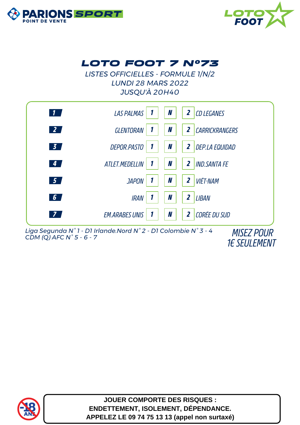



## *LOTO FOOT 7 N°73*

*LISTES OFFICIELLES - FORMULE 1/N/2 LUNDI 28 MARS 2022 JUSQU'À 20H40*



*Liga Segunda N° 1 - D1 Irlande.Nord N° 2 - D1 Colombie N° 3 - 4 CDM (Q) AFC N° 5 - 6 - 7 MISEZ POUR*

*1€ SEULEMENT*



**JOUER COMPORTE DES RISQUES : ENDETTEMENT, ISOLEMENT, DÉPENDANCE. APPELEZ LE 09 74 75 13 13 (appel non surtaxé)**